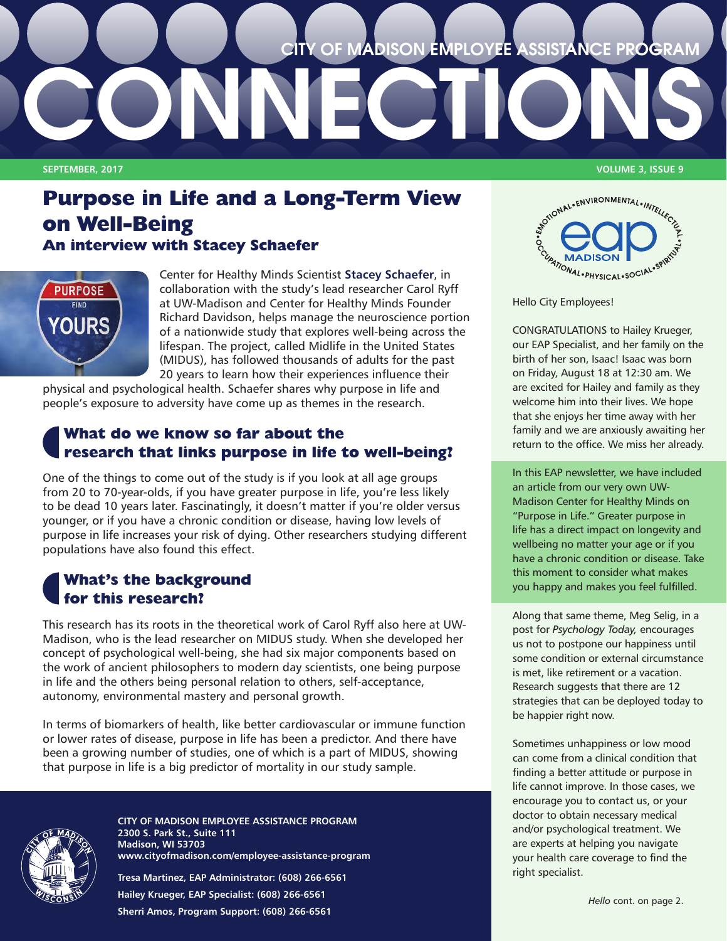

# **Purpose in Life and a Long-Term View on Well-Being An interview with Stacey Schaefer**



Center for Healthy Minds Scientist **[Stacey Schaefer](https://centerhealthyminds.org/about/people/stacey-schaefer)**, in collaboration with the study's lead researcher Carol Ryff at UW-Madison and Center for Healthy Minds Founder Richard Davidson, helps manage the neuroscience portion of a nationwide study that explores well-being across the lifespan. The project, called Midlife in the United States (MIDUS), has followed thousands of adults for the past 20 years to learn how their experiences influence their

physical and psychological health. Schaefer shares why purpose in life and people's exposure to adversity have come up as themes in the research.

# **What do we know so far about the research that links purpose in life to well-being?**

One of the things to come out of the study is if you look at all age groups from 20 to 70-year-olds, if you have greater purpose in life, you're less likely to be dead 10 years later. Fascinatingly, it doesn't matter if you're older versus younger, or if you have a chronic condition or disease, having low levels of purpose in life increases your risk of dying. Other researchers studying different populations have also found this effect.

## **What's the background for this research?**

This research has its roots in the theoretical work of Carol Ryff also here at UW-Madison, who is the lead researcher on MIDUS study. When she developed her concept of psychological well-being, she had six major components based on the work of ancient philosophers to modern day scientists, one being purpose in life and the others being personal relation to others, self-acceptance, autonomy, environmental mastery and personal growth.

In terms of biomarkers of health, like better cardiovascular or immune function or lower rates of disease, purpose in life has been a predictor. And there have been a growing number of studies, one of which is a part of MIDUS, showing that purpose in life is a big predictor of mortality in our study sample.



**CITY OF MADISON EMPLOYEE ASSISTANCE PROGRAM 2300 S. Park St., Suite 111 Madison, WI 53703 www.cityofmadison.com/employee-assistance-program**

**Tresa Martinez, EAP Administrator: (608) 266-6561 Hailey Krueger, EAP Specialist: (608) 266-6561 Sherri Amos, Program Support: (608) 266-6561**

**SEPTEMBER, 2017 VOLUME 3, ISSUE 9**



Hello City Employees!

CONGRATULATIONS to Hailey Krueger, our EAP Specialist, and her family on the birth of her son, Isaac! Isaac was born on Friday, August 18 at 12:30 am. We are excited for Hailey and family as they welcome him into their lives. We hope that she enjoys her time away with her family and we are anxiously awaiting her return to the office. We miss her already.

In this EAP newsletter, we have included an article from our very own UW-Madison Center for Healthy Minds on "Purpose in Life." Greater purpose in life has a direct impact on longevity and wellbeing no matter your age or if you have a chronic condition or disease. Take this moment to consider what makes you happy and makes you feel fulfilled.

Along that same theme, Meg Selig, in a post for *Psychology Today,* encourages us not to postpone our happiness until some condition or external circumstance is met, like retirement or a vacation. Research suggests that there are 12 strategies that can be deployed today to be happier right now.

Sometimes unhappiness or low mood can come from a clinical condition that finding a better attitude or purpose in life cannot improve. In those cases, we encourage you to contact us, or your doctor to obtain necessary medical and/or psychological treatment. We are experts at helping you navigate your health care coverage to find the right specialist.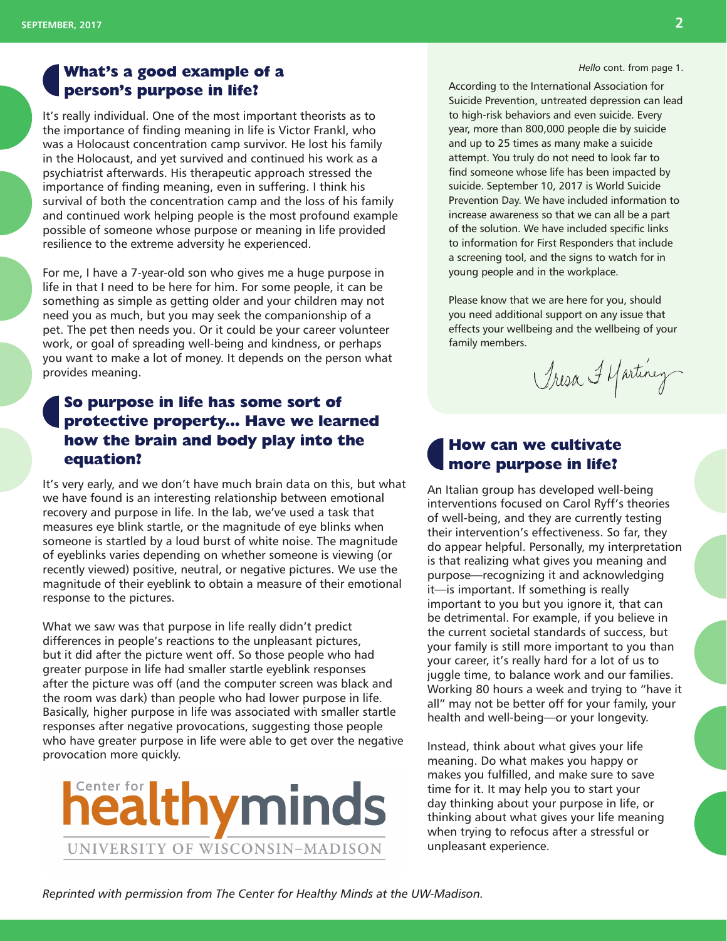## **What's a good example of a person's purpose in life?**

It's really individual. One of the most important theorists as to the importance of finding meaning in life is Victor Frankl, who was a Holocaust concentration camp survivor. He lost his family in the Holocaust, and yet survived and continued his work as a psychiatrist afterwards. His therapeutic approach stressed the importance of finding meaning, even in suffering. I think his survival of both the concentration camp and the loss of his family and continued work helping people is the most profound example possible of someone whose purpose or meaning in life provided resilience to the extreme adversity he experienced.

For me, I have a 7-year-old son who gives me a huge purpose in life in that I need to be here for him. For some people, it can be something as simple as getting older and your children may not need you as much, but you may seek the companionship of a pet. The pet then needs you. Or it could be your career volunteer work, or goal of spreading well-being and kindness, or perhaps you want to make a lot of money. It depends on the person what provides meaning.

## **So purpose in life has some sort of protective property... Have we learned how the brain and body play into the equation?**

It's very early, and we don't have much brain data on this, but what we have found is an interesting relationship between emotional recovery and purpose in life. In the lab, we've used a task that measures eye blink startle, or the magnitude of eye blinks when someone is startled by a loud burst of white noise. The magnitude of eyeblinks varies depending on whether someone is viewing (or recently viewed) positive, neutral, or negative pictures. We use the magnitude of their eyeblink to obtain a measure of their emotional response to the pictures.

What we saw was that purpose in life really didn't predict differences in people's reactions to the unpleasant pictures, but it did after the picture went off. So those people who had greater purpose in life had smaller startle eyeblink responses after the picture was off (and the computer screen was black and the room was dark) than people who had lower purpose in life. Basically, higher purpose in life was associated with smaller startle responses after negative provocations, suggesting those people who have greater purpose in life were able to get over the negative provocation more quickly.



*Hello* cont. from page 1.

According to the International Association for Suicide Prevention, untreated depression can lead to high-risk behaviors and even suicide. Every year, more than 800,000 people die by suicide and up to 25 times as many make a suicide attempt. You truly do not need to look far to find someone whose life has been impacted by suicide. September 10, 2017 is World Suicide Prevention Day. We have included information to increase awareness so that we can all be a part of the solution. We have included specific links to information for First Responders that include a screening tool, and the signs to watch for in young people and in the workplace.

Please know that we are here for you, should you need additional support on any issue that effects your wellbeing and the wellbeing of your family members.

Tresa I Martinez

## **How can we cultivate more purpose in life?**

An Italian group has developed well-being interventions focused on Carol Ryff's theories of well-being, and they are currently testing their intervention's effectiveness. So far, they do appear helpful. Personally, my interpretation is that realizing what gives you meaning and purpose—recognizing it and acknowledging it—is important. If something is really important to you but you ignore it, that can be detrimental. For example, if you believe in the current societal standards of success, but your family is still more important to you than your career, it's really hard for a lot of us to juggle time, to balance work and our families. Working 80 hours a week and trying to "have it all" may not be better off for your family, your health and well-being—or your longevity.

Instead, think about what gives your life meaning. Do what makes you happy or makes you fulfilled, and make sure to save time for it. It may help you to start your day thinking about your purpose in life, or thinking about what gives your life meaning when trying to refocus after a stressful or unpleasant experience.

*Reprinted with permission from The Center for Healthy Minds at the UW-Madison.*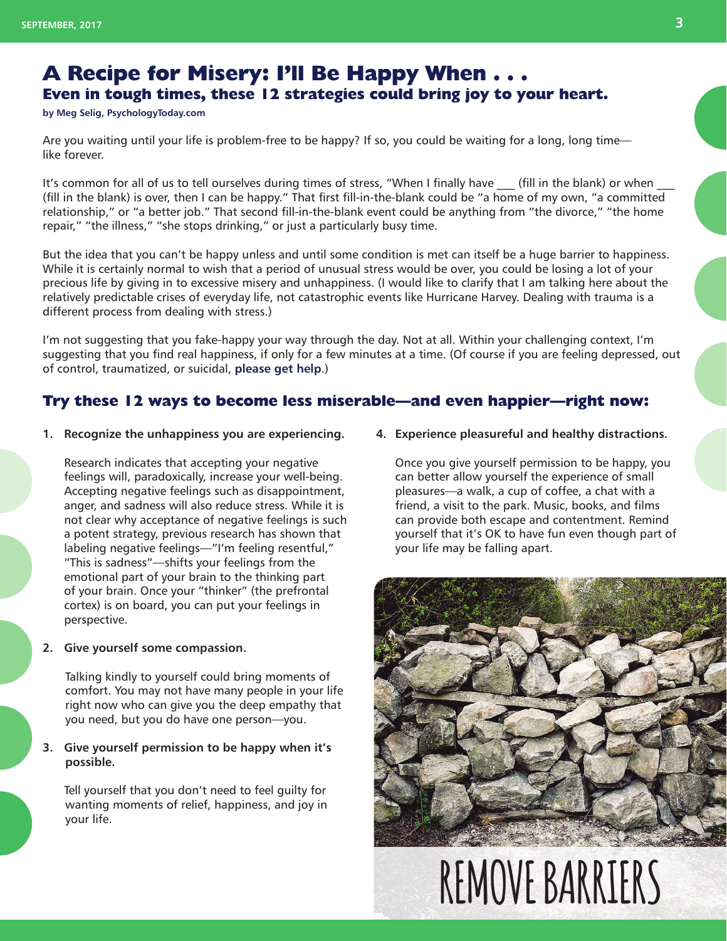# **A Recipe for Misery: I'll Be Happy When . . . Even in tough times, these 12 strategies could bring joy to your heart.**

**[by Meg Selig, PsychologyToday.com](http://www.psychologytoday.com/blog/changepower)**

Are you waiting until your life is problem-free to be happy? If so, you could be waiting for a long, long time like forever.

It's common for all of us to tell ourselves during times of stress, "When I finally have (fill in the blank) or when (fill in the blank) is over, then I can be happy." That first fill-in-the-blank could be "a home of my own, "a committed relationship," or "a better job." That second fill-in-the-blank event could be anything from "the divorce," "the home repair," "the illness," "she stops drinking," or just a particularly busy time.

But the idea that you can't be happy unless and until some condition is met can itself be a huge barrier to happiness. While it is certainly normal to wish that a period of unusual stress would be over, you could be losing a lot of your precious life by giving in to excessive misery and unhappiness. (I would like to clarify that I am talking here about the relatively predictable crises of everyday life, not catastrophic events like Hurricane Harvey. Dealing with trauma is a different process from dealing with stress.)

I'm not suggesting that you fake-happy your way through the day. Not at all. Within your challenging context, I'm suggesting that you find real happiness, if only for a few minutes at a time. (Of course if you are feeling depressed, out of control, traumatized, or suicidal, **[please get help](https://suicidepreventionlifeline.org/)**.)

## **Try these 12 ways to become less miserable—and even happier—right now:**

**1. Recognize the unhappiness you are experiencing.**

Research indicates that accepting your negative feelings will, paradoxically, increase your well-being. Accepting negative feelings such as disappointment, anger, and sadness will also reduce stress. While it is not clear why acceptance of negative feelings is such a potent strategy, previous research has shown that labeling negative feelings—"I'm feeling resentful," "This is sadness"—shifts your feelings from the emotional part of your brain to the thinking part of your brain. Once your "thinker" (the prefrontal cortex) is on board, you can put your feelings in perspective.

**2. Give yourself some compassion.**

Talking kindly to yourself could bring moments of comfort. You may not have many people in your life right now who can give you the deep empathy that you need, but you do have one person—you.

#### **3. Give yourself permission to be happy when it's possible.**

Tell yourself that you don't need to feel guilty for wanting moments of relief, happiness, and joy in your life.

**4. Experience pleasureful and healthy distractions.**

Once you give yourself permission to be happy, you can better allow yourself the experience of small pleasures—a walk, a cup of coffee, a chat with a friend, a visit to the park. Music, books, and films can provide both escape and contentment. Remind yourself that it's OK to have fun even though part of your life may be falling apart.





# **REMOVE BARRIERS**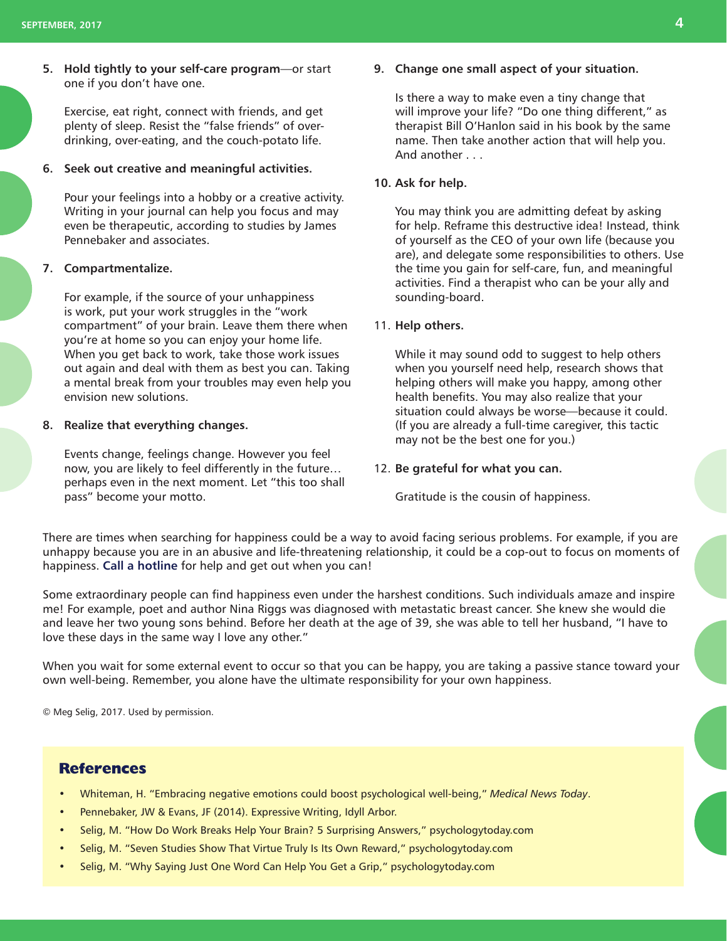**5. Hold tightly to your self-care program**—or start one if you don't have one.

Exercise, eat right, connect with friends, and get plenty of sleep. Resist the "false friends" of overdrinking, over-eating, and the couch-potato life.

#### **6. Seek out creative and meaningful activities.**

Pour your feelings into a hobby or a creative activity. Writing in your journal can help you focus and may even be therapeutic, according to studies by James Pennebaker and associates.

#### **7. Compartmentalize.**

For example, if the source of your unhappiness is work, put your work struggles in the "work compartment" of your brain. Leave them there when you're at home so you can enjoy your home life. When you get back to work, take those work issues out again and deal with them as best you can. Taking a mental break from your troubles may even help you envision new solutions.

#### **8. Realize that everything changes.**

Events change, feelings change. However you feel now, you are likely to feel differently in the future… perhaps even in the next moment. Let "this too shall pass" become your motto.

#### **9. Change one small aspect of your situation.**

Is there a way to make even a tiny change that will improve your life? "Do one thing different," as therapist Bill O'Hanlon said in his book by the same name. Then take another action that will help you. And another . . .

#### **10. Ask for help.**

You may think you are admitting defeat by asking for help. Reframe this destructive idea! Instead, think of yourself as the CEO of your own life (because you are), and delegate some responsibilities to others. Use the time you gain for self-care, fun, and meaningful activities. Find a therapist who can be your ally and sounding-board.

#### 11. **Help others.**

While it may sound odd to suggest to help others when you yourself need help, research shows that helping others will make you happy, among other health benefits. You may also realize that your situation could always be worse—because it could. (If you are already a full-time caregiver, this tactic may not be the best one for you.)

#### 12. **Be grateful for what you can.**

Gratitude is the cousin of happiness.

There are times when searching for happiness could be a way to avoid facing serious problems. For example, if you are unhappy because you are in an abusive and life-threatening relationship, it could be a cop-out to focus on moments of happiness. **[Call a hotline](http://abuseintervention.org/help/help-overview/)** for help and get out when you can!

Some extraordinary people can find happiness even under the harshest conditions. Such individuals amaze and inspire me! For example, poet and author Nina Riggs was diagnosed with metastatic breast cancer. She knew she would die and leave her two young sons behind. Before her death at the age of 39, she was able to tell her husband, "I have to love these days in the same way I love any other."

When you wait for some external event to occur so that you can be happy, you are taking a passive stance toward your own well-being. Remember, you alone have the ultimate responsibility for your own happiness.

© Meg Selig, 2017. Used by permission.

#### **References**

- Whiteman, H. "Embracing negative emotions could boost psychological well-being," *Medical News Today*.
- Pennebaker, JW & Evans, JF (2014). Expressive Writing, Idyll Arbor.
- Selig, M. "How Do Work Breaks Help Your Brain? 5 Surprising Answers," psychologytoday.com
- Selig, M. "Seven Studies Show That Virtue Truly Is Its Own Reward," psychologytoday.com
- Selig, M. "Why Saying Just One Word Can Help You Get a Grip," psychologytoday.com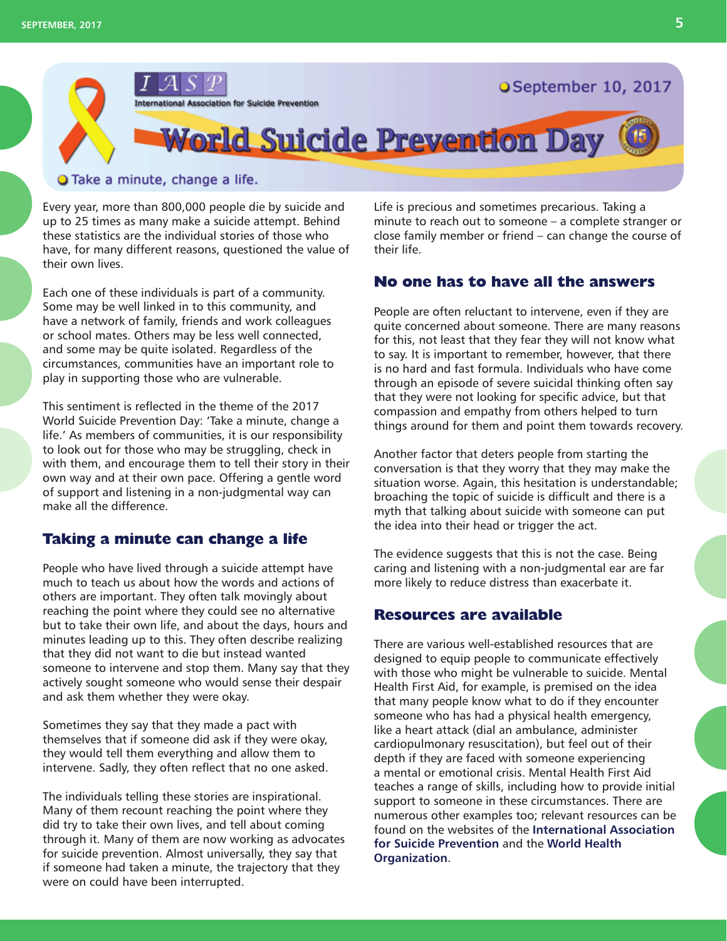

#### O Take a minute, change a life.

Every year, more than 800,000 people die by suicide and up to 25 times as many make a suicide attempt. Behind these statistics are the individual stories of those who have, for many different reasons, questioned the value of their own lives.

Each one of these individuals is part of a community. Some may be well linked in to this community, and have a network of family, friends and work colleagues or school mates. Others may be less well connected, and some may be quite isolated. Regardless of the circumstances, communities have an important role to play in supporting those who are vulnerable.

This sentiment is reflected in the theme of the 2017 World Suicide Prevention Day: 'Take a minute, change a life.' As members of communities, it is our responsibility to look out for those who may be struggling, check in with them, and encourage them to tell their story in their own way and at their own pace. Offering a gentle word of support and listening in a non-judgmental way can make all the difference.

#### **Taking a minute can change a life**

People who have lived through a suicide attempt have much to teach us about how the words and actions of others are important. They often talk movingly about reaching the point where they could see no alternative but to take their own life, and about the days, hours and minutes leading up to this. They often describe realizing that they did not want to die but instead wanted someone to intervene and stop them. Many say that they actively sought someone who would sense their despair and ask them whether they were okay.

Sometimes they say that they made a pact with themselves that if someone did ask if they were okay, they would tell them everything and allow them to intervene. Sadly, they often reflect that no one asked.

The individuals telling these stories are inspirational. Many of them recount reaching the point where they did try to take their own lives, and tell about coming through it. Many of them are now working as advocates for suicide prevention. Almost universally, they say that if someone had taken a minute, the trajectory that they were on could have been interrupted.

Life is precious and sometimes precarious. Taking a minute to reach out to someone – a complete stranger or close family member or friend – can change the course of their life.

## **No one has to have all the answers**

People are often reluctant to intervene, even if they are quite concerned about someone. There are many reasons for this, not least that they fear they will not know what to say. It is important to remember, however, that there is no hard and fast formula. Individuals who have come through an episode of severe suicidal thinking often say that they were not looking for specific advice, but that compassion and empathy from others helped to turn things around for them and point them towards recovery.

Another factor that deters people from starting the conversation is that they worry that they may make the situation worse. Again, this hesitation is understandable; broaching the topic of suicide is difficult and there is a myth that talking about suicide with someone can put the idea into their head or trigger the act.

The evidence suggests that this is not the case. Being caring and listening with a non-judgmental ear are far more likely to reduce distress than exacerbate it.

## **Resources are available**

There are various well-established resources that are designed to equip people to communicate effectively with those who might be vulnerable to suicide. Mental Health First Aid, for example, is premised on the idea that many people know what to do if they encounter someone who has had a physical health emergency, like a heart attack (dial an ambulance, administer cardiopulmonary resuscitation), but feel out of their depth if they are faced with someone experiencing a mental or emotional crisis. Mental Health First Aid teaches a range of skills, including how to provide initial support to someone in these circumstances. There are numerous other examples too; relevant resources can be found on the websites of the **[International Association](https://www.iasp.info/resources)  [for Suicide Prevention](https://www.iasp.info/resources)** and the **[World Health](http://www.who.int)  [Organization](http://www.who.int)**.